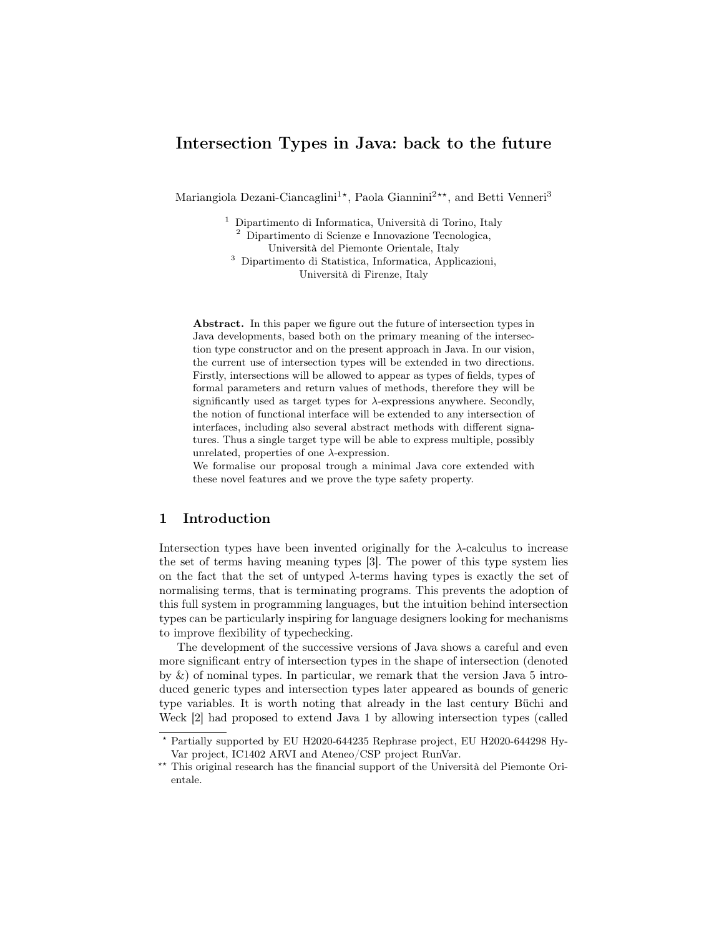# Intersection Types in Java: back to the future

Mariangiola Dezani-Ciancaglini<sup>1\*</sup>, Paola Giannini<sup>2\*\*</sup>, and Betti Venneri<sup>3</sup>

<sup>1</sup> Dipartimento di Informatica, Università di Torino, Italy <sup>2</sup> Dipartimento di Scienze e Innovazione Tecnologica, Università del Piemonte Orientale, Italy <sup>3</sup> Dipartimento di Statistica, Informatica, Applicazioni, Università di Firenze, Italy

Abstract. In this paper we figure out the future of intersection types in Java developments, based both on the primary meaning of the intersection type constructor and on the present approach in Java. In our vision, the current use of intersection types will be extended in two directions. Firstly, intersections will be allowed to appear as types of fields, types of formal parameters and return values of methods, therefore they will be significantly used as target types for  $\lambda$ -expressions anywhere. Secondly, the notion of functional interface will be extended to any intersection of interfaces, including also several abstract methods with different signatures. Thus a single target type will be able to express multiple, possibly unrelated, properties of one  $\lambda$ -expression.

We formalise our proposal trough a minimal Java core extended with these novel features and we prove the type safety property.

## 1 Introduction

Intersection types have been invented originally for the  $\lambda$ -calculus to increase the set of terms having meaning types [3]. The power of this type system lies on the fact that the set of untyped  $\lambda$ -terms having types is exactly the set of normalising terms, that is terminating programs. This prevents the adoption of this full system in programming languages, but the intuition behind intersection types can be particularly inspiring for language designers looking for mechanisms to improve flexibility of typechecking.

The development of the successive versions of Java shows a careful and even more significant entry of intersection types in the shape of intersection (denoted by  $\&$ ) of nominal types. In particular, we remark that the version Java 5 introduced generic types and intersection types later appeared as bounds of generic type variables. It is worth noting that already in the last century Büchi and Weck [2] had proposed to extend Java 1 by allowing intersection types (called

<sup>?</sup> Partially supported by EU H2020-644235 Rephrase project, EU H2020-644298 Hy-Var project, IC1402 ARVI and Ateneo/CSP project RunVar.

<sup>\*\*</sup> This original research has the financial support of the Università del Piemonte Orientale.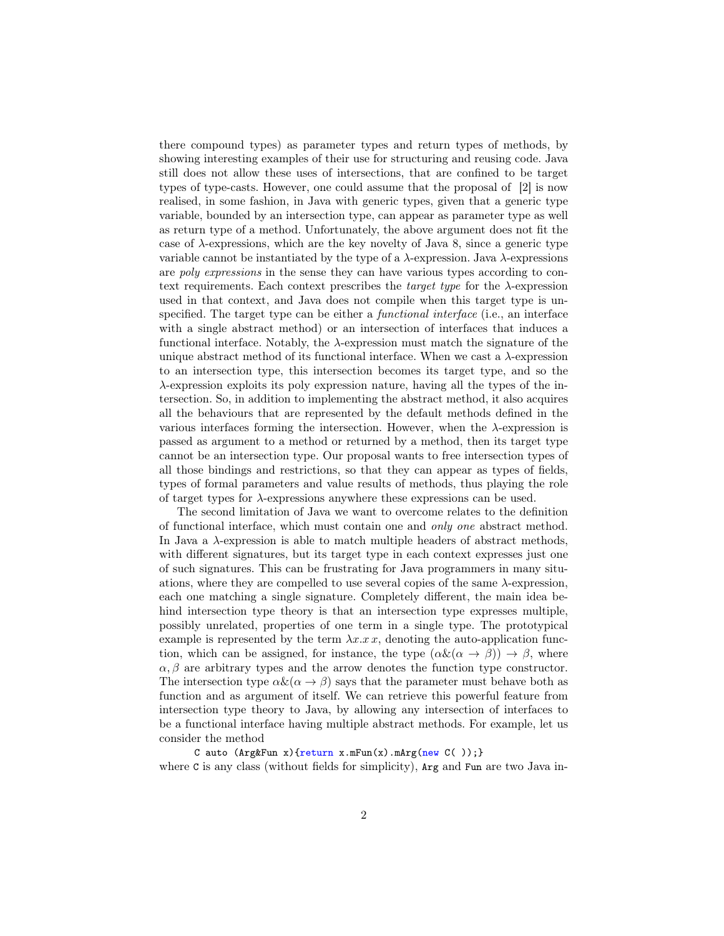there compound types) as parameter types and return types of methods, by showing interesting examples of their use for structuring and reusing code. Java still does not allow these uses of intersections, that are confined to be target types of type-casts. However, one could assume that the proposal of [2] is now realised, in some fashion, in Java with generic types, given that a generic type variable, bounded by an intersection type, can appear as parameter type as well as return type of a method. Unfortunately, the above argument does not fit the case of  $\lambda$ -expressions, which are the key novelty of Java 8, since a generic type variable cannot be instantiated by the type of a λ-expression. Java λ-expressions are poly expressions in the sense they can have various types according to context requirements. Each context prescribes the *target type* for the  $\lambda$ -expression used in that context, and Java does not compile when this target type is unspecified. The target type can be either a functional interface (i.e., an interface with a single abstract method) or an intersection of interfaces that induces a functional interface. Notably, the  $\lambda$ -expression must match the signature of the unique abstract method of its functional interface. When we cast a  $\lambda$ -expression to an intersection type, this intersection becomes its target type, and so the λ-expression exploits its poly expression nature, having all the types of the intersection. So, in addition to implementing the abstract method, it also acquires all the behaviours that are represented by the default methods defined in the various interfaces forming the intersection. However, when the  $\lambda$ -expression is passed as argument to a method or returned by a method, then its target type cannot be an intersection type. Our proposal wants to free intersection types of all those bindings and restrictions, so that they can appear as types of fields, types of formal parameters and value results of methods, thus playing the role of target types for  $\lambda$ -expressions anywhere these expressions can be used.

The second limitation of Java we want to overcome relates to the definition of functional interface, which must contain one and only one abstract method. In Java a  $\lambda$ -expression is able to match multiple headers of abstract methods, with different signatures, but its target type in each context expresses just one of such signatures. This can be frustrating for Java programmers in many situations, where they are compelled to use several copies of the same  $\lambda$ -expression, each one matching a single signature. Completely different, the main idea behind intersection type theory is that an intersection type expresses multiple, possibly unrelated, properties of one term in a single type. The prototypical example is represented by the term  $\lambda x.x$ , denoting the auto-application function, which can be assigned, for instance, the type  $(\alpha \& (\alpha \rightarrow \beta)) \rightarrow \beta$ , where  $\alpha$ ,  $\beta$  are arbitrary types and the arrow denotes the function type constructor. The intersection type  $\alpha \& (\alpha \rightarrow \beta)$  says that the parameter must behave both as function and as argument of itself. We can retrieve this powerful feature from intersection type theory to Java, by allowing any intersection of interfaces to be a functional interface having multiple abstract methods. For example, let us consider the method

C auto  $(\text{Arg}\&\text{Fun } x)$  {return x.mFun(x).mArg(new C()); } where C is any class (without fields for simplicity),  $Arg$  and Fun are two Java in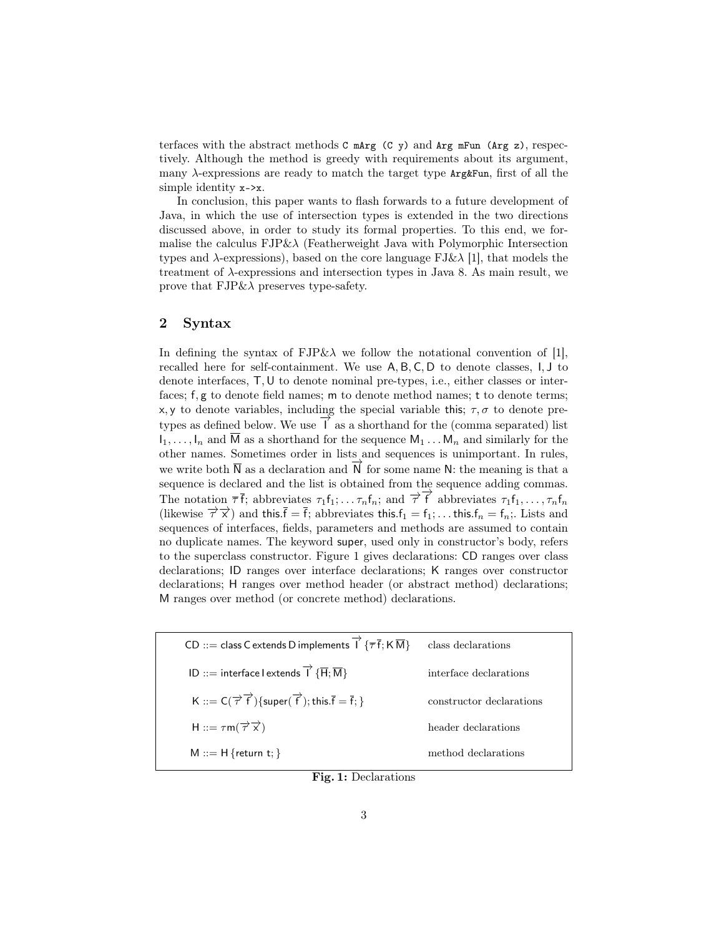terfaces with the abstract methods  $C$  mang  $(C, y)$  and  $Arg$  mFun  $(Arg z)$ , respectively. Although the method is greedy with requirements about its argument, many  $\lambda$ -expressions are ready to match the target type  $Arg\&Fun$ , first of all the simple identity x->x.

In conclusion, this paper wants to flash forwards to a future development of Java, in which the use of intersection types is extended in the two directions discussed above, in order to study its formal properties. To this end, we formalise the calculus  $FJP\&\lambda$  (Featherweight Java with Polymorphic Intersection types and  $\lambda$ -expressions), based on the core language FJ& $\lambda$  [1], that models the treatment of λ-expressions and intersection types in Java 8. As main result, we prove that  $FJP\&\lambda$  preserves type-safety.

### 2 Syntax

In defining the syntax of  $FJP\&\lambda$  we follow the notational convention of [1], recalled here for self-containment. We use A, B, C, D to denote classes, I, J to denote interfaces, T,U to denote nominal pre-types, i.e., either classes or interfaces; f, g to denote field names; m to denote method names; t to denote terms; x, y to denote variables, including the special variable this;  $\tau$ ,  $\sigma$  to denote pretypes as defined below. We use  $\overrightarrow{I}$  as a shorthand for the (comma separated) list  $I_1, \ldots, I_n$  and  $\overline{M}$  as a shorthand for the sequence  $M_1 \ldots M_n$  and similarly for the other names. Sometimes order in lists and sequences is unimportant. In rules, we write both  $\overline{N}$  as a declaration and  $\overline{N}$  for some name N: the meaning is that a sequence is declared and the list is obtained from the sequence adding commas. The notation  $\bar{\tau}$ , abbreviates  $\tau_1 f_1; \ldots, \tau_n f_n$ ; and  $\bar{\tau}$  abbreviates  $\tau_1 f_1, \ldots, \tau_n f_n$ (likewise  $\overrightarrow{\tau} \overrightarrow{x}$ ) and this. $\overline{f} = \overline{f}$ ; abbreviates this. $f_1 = f_1$ ; ... this. $f_n = f_n$ ; Lists and sequences of interfaces, fields, parameters and methods are assumed to contain no duplicate names. The keyword super, used only in constructor's body, refers to the superclass constructor. Figure 1 gives declarations: CD ranges over class declarations; ID ranges over interface declarations; K ranges over constructor declarations; H ranges over method header (or abstract method) declarations; M ranges over method (or concrete method) declarations.

| CD ::= class C extends D implements $\overrightarrow{1} \{ \overline{\tau} \overline{f} ; K \overline{M} \}$                | class declarations       |
|-----------------------------------------------------------------------------------------------------------------------------|--------------------------|
| ID ::= interface l extends $\overrightarrow{I} \{ \overrightarrow{H} ; \overrightarrow{M} \}$                               | interface declarations   |
| K ::= $C(\overrightarrow{\tau} \overrightarrow{f})$ {super $(\overrightarrow{f})$ ; this. $\overline{f} = \overline{f}$ ; } | constructor declarations |
| H ::= $\tau$ m( $\overrightarrow{\tau}$ $\overrightarrow{x}$ )                                                              | header declarations      |
| $M ::= H \{ return t; \}$                                                                                                   | method declarations      |

Fig. 1: Declarations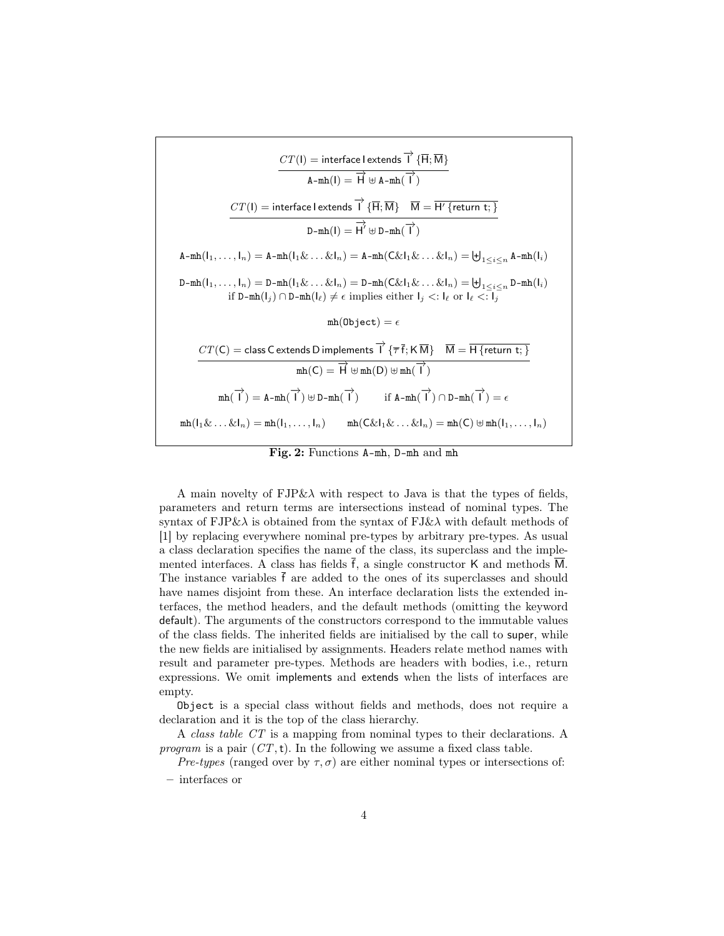

Fig. 2: Functions A-mh, D-mh and mh

A main novelty of  $FJP\&\lambda$  with respect to Java is that the types of fields, parameters and return terms are intersections instead of nominal types. The syntax of  $FJP\&\lambda$  is obtained from the syntax of  $FJ\&\lambda$  with default methods of [1] by replacing everywhere nominal pre-types by arbitrary pre-types. As usual a class declaration specifies the name of the class, its superclass and the implemented interfaces. A class has fields  $\bar{f}$ , a single constructor K and methods  $\overline{M}$ . The instance variables  $\bar{f}$  are added to the ones of its superclasses and should have names disjoint from these. An interface declaration lists the extended interfaces, the method headers, and the default methods (omitting the keyword default). The arguments of the constructors correspond to the immutable values of the class fields. The inherited fields are initialised by the call to super, while the new fields are initialised by assignments. Headers relate method names with result and parameter pre-types. Methods are headers with bodies, i.e., return expressions. We omit implements and extends when the lists of interfaces are empty.

Object is a special class without fields and methods, does not require a declaration and it is the top of the class hierarchy.

A class table CT is a mapping from nominal types to their declarations. A program is a pair  $(CT, t)$ . In the following we assume a fixed class table.

Pre-types (ranged over by  $\tau$ ,  $\sigma$ ) are either nominal types or intersections of:

– interfaces or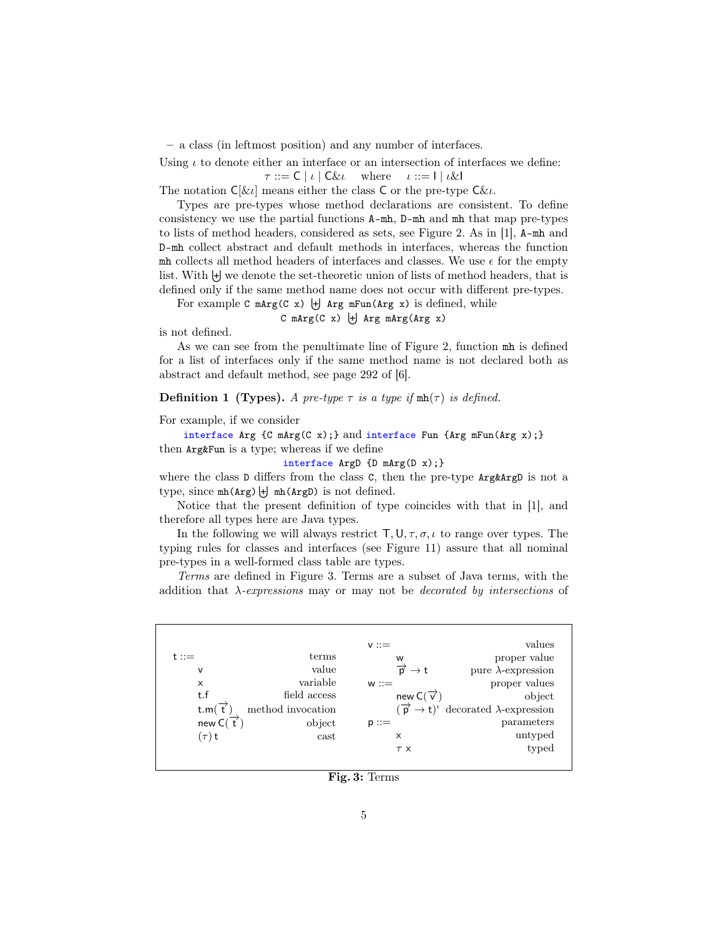– a class (in leftmost position) and any number of interfaces.

Using  $\iota$  to denote either an interface or an intersection of interfaces we define:

 $\tau ::= C \mid \iota \mid C \& \iota$  where  $\iota ::= I \mid \iota \& I$ 

The notation  $C[\ι]$  means either the class C or the pre-type  $C\ι$ .

Types are pre-types whose method declarations are consistent. To define consistency we use the partial functions A-mh, D-mh and mh that map pre-types to lists of method headers, considered as sets, see Figure 2. As in [1], A-mh and D-mh collect abstract and default methods in interfaces, whereas the function mh collects all method headers of interfaces and classes. We use  $\epsilon$  for the empty list. With  $\biguplus$  we denote the set-theoretic union of lists of method headers, that is defined only if the same method name does not occur with different pre-types.

For example  $C$  mArg( $C$  x)  $\biguplus$  Arg mFun(Arg x) is defined, while

#### $C$  mArg( $C$  x)  $\biguplus$  Arg mArg( $Arg$  x)

is not defined.

As we can see from the penultimate line of Figure 2, function mh is defined for a list of interfaces only if the same method name is not declared both as abstract and default method, see page 292 of [6].

**Definition 1 (Types).** A pre-type  $\tau$  is a type if  $mh(\tau)$  is defined.

For example, if we consider

interface Arg {C mArg(C x);} and interface Fun {Arg mFun(Arg x);} then Arg&Fun is a type; whereas if we define

interface ArgD {D mArg(D x);}

where the class D differs from the class C, then the pre-type  $Arg\Delta x$ type, since  $mh(\text{Arg}) \downarrow dm(\text{Arg})$  is not defined.

Notice that the present definition of type coincides with that in [1], and therefore all types here are Java types.

In the following we will always restrict  $\mathsf{T}, \mathsf{U}, \tau, \sigma, \iota$  to range over types. The typing rules for classes and interfaces (see Figure 11) assure that all nominal pre-types in a well-formed class table are types.

Terms are defined in Figure 3. Terms are a subset of Java terms, with the addition that  $\lambda$ -expressions may or may not be *decorated by intersections* of

| values                                                            |                                    | $v ::=$ |                   |                       |
|-------------------------------------------------------------------|------------------------------------|---------|-------------------|-----------------------|
| proper value                                                      | W                                  |         | terms             | $t ::=$               |
| pure $\lambda$ -expression                                        | $\overrightarrow{p} \rightarrow t$ |         | value             | v                     |
| proper values                                                     |                                    | $w ::=$ | variable          | $\times$              |
| object                                                            | new $C(\overrightarrow{V})$        |         | field access      | t.f                   |
| $(\vec{p} \rightarrow t)^{\iota}$ decorated $\lambda$ -expression |                                    |         | method invocation | t.m(                  |
| parameters                                                        |                                    | $p ::=$ | object            | new $C(\overline{t})$ |
| untyped                                                           | $\times$                           |         | cast              | $(\tau)$ t            |
| typed                                                             | $\tau x$                           |         |                   |                       |

Fig. 3: Terms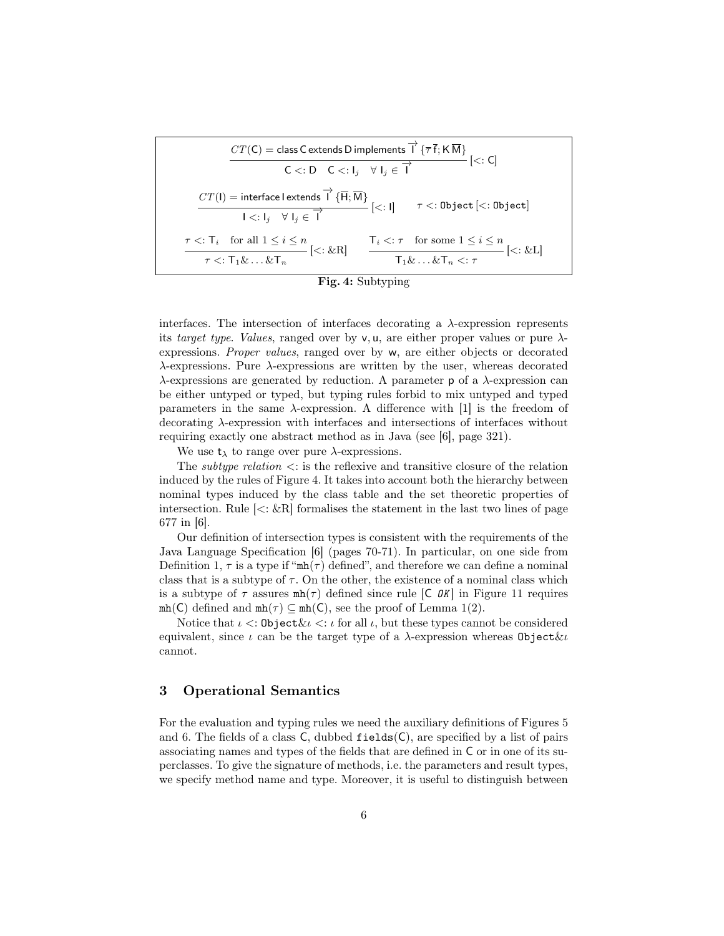$$
CT(C) = \text{class C extends D implements } \vec{1} \{\overline{\tau} \cdot \vec{t}; K \overline{M}\}
$$
  

$$
C <: D \quad C <: I_j \quad \forall \ I_j \in \vec{1}
$$
  

$$
CT(I) = interface I extends \vec{1} \{\overline{H}; \overline{M}\}
$$
  

$$
I <: I_j \quad \forall \ I_j \in \vec{1}
$$
  

$$
\tau <: D \text{ object } [<: \text{Object}]
$$
  

$$
\tau <: T_i \quad \text{for all } 1 \leq i \leq n
$$
  

$$
\tau <: T_1 \& \dots \& T_n
$$
  

$$
[<: \&R]
$$
  

$$
\frac{T_i <: \tau \quad \text{for some } 1 \leq i \leq n}{T_1 \& \dots \& T_n <: \tau \quad \text{for some } 1 \leq i \leq n}
$$
  

$$
T_1 \& \dots \& T_n <: \tau
$$

Fig. 4: Subtyping

interfaces. The intersection of interfaces decorating a  $\lambda$ -expression represents its target type. Values, ranged over by v, u, are either proper values or pure  $\lambda$ expressions. Proper values, ranged over by w, are either objects or decorated  $\lambda$ -expressions. Pure  $\lambda$ -expressions are written by the user, whereas decorated λ-expressions are generated by reduction. A parameter p of a λ-expression can be either untyped or typed, but typing rules forbid to mix untyped and typed parameters in the same  $\lambda$ -expression. A difference with [1] is the freedom of decorating λ-expression with interfaces and intersections of interfaces without requiring exactly one abstract method as in Java (see [6], page 321).

We use  $t_{\lambda}$  to range over pure  $\lambda$ -expressions.

The *subtype relation*  $\lt$ : is the reflexive and transitive closure of the relation induced by the rules of Figure 4. It takes into account both the hierarchy between nominal types induced by the class table and the set theoretic properties of intersection. Rule  $\leq$ :  $\&$ R] formalises the statement in the last two lines of page 677 in [6].

Our definition of intersection types is consistent with the requirements of the Java Language Specification [6] (pages 70-71). In particular, on one side from Definition 1,  $\tau$  is a type if " $mh(\tau)$  defined", and therefore we can define a nominal class that is a subtype of  $\tau$ . On the other, the existence of a nominal class which is a subtype of  $\tau$  assures  $mh(\tau)$  defined since rule [C OK] in Figure 11 requires  $mh(C)$  defined and  $mh(\tau) \subseteq mh(C)$ , see the proof of Lemma 1(2).

Notice that  $\iota < \mathcal{O}$  bject  $\& \iota < \iota$  for all  $\iota$ , but these types cannot be considered equivalent, since *ι* can be the target type of a  $\lambda$ -expression whereas Object  $\ι$ cannot.

#### 3 Operational Semantics

For the evaluation and typing rules we need the auxiliary definitions of Figures 5 and 6. The fields of a class  $C$ , dubbed fields $(C)$ , are specified by a list of pairs associating names and types of the fields that are defined in C or in one of its superclasses. To give the signature of methods, i.e. the parameters and result types, we specify method name and type. Moreover, it is useful to distinguish between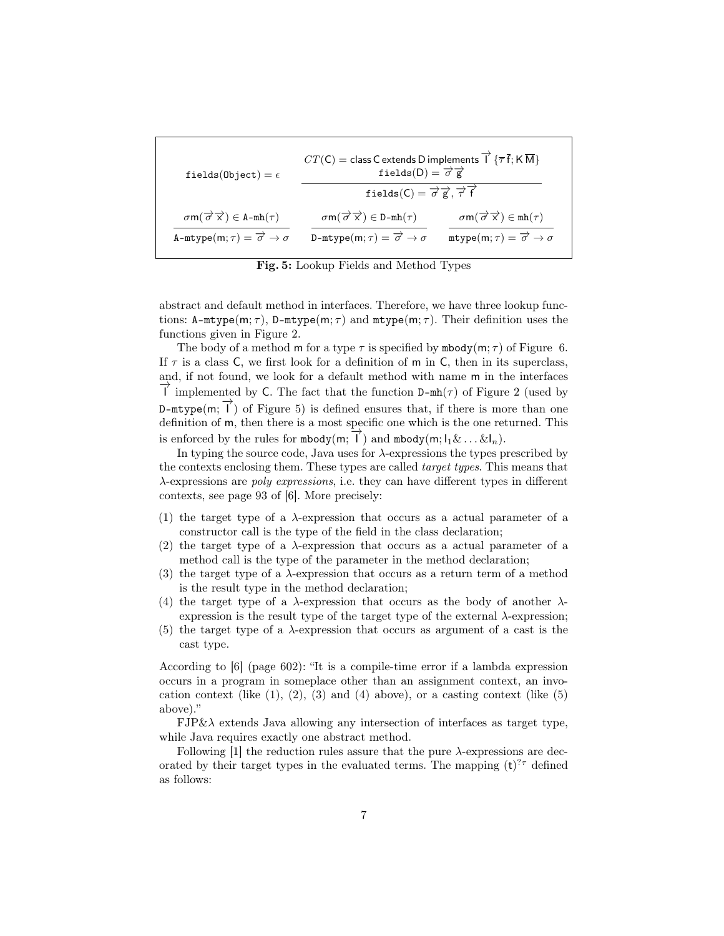| fields(Object) = $\epsilon$                                                                                                                  | $CT(\mathsf{C}) = \mathsf{class}\,\mathsf{C}$ extends D implements $\overrightarrow{\mathsf{I}}$ $\{\overrightarrow{\tau}\}\,\mathsf{\bar{f}}\,;\mathsf{K}\,\overrightarrow{\mathsf{M}}\}$<br>fields(D) = $\overrightarrow{\sigma}\,\overrightarrow{\mathsf{g}}$ |                                                                                                                                     |
|----------------------------------------------------------------------------------------------------------------------------------------------|------------------------------------------------------------------------------------------------------------------------------------------------------------------------------------------------------------------------------------------------------------------|-------------------------------------------------------------------------------------------------------------------------------------|
|                                                                                                                                              | fields(C) = $\overrightarrow{\sigma}$ g', $\overrightarrow{\tau}$ f                                                                                                                                                                                              |                                                                                                                                     |
| $\sigma$ m $(\overrightarrow{\sigma} \overrightarrow{x}) \in A-mh(\tau)$<br>A-mtype $(m; \tau) = \overrightarrow{\sigma} \rightarrow \sigma$ | $\sigma m(\overrightarrow{\sigma} \overrightarrow{x}) \in D-mh(\tau)$<br>D-mtype $(m; \tau) = \overrightarrow{\sigma} \rightarrow \sigma$                                                                                                                        | $\sigma m(\overrightarrow{\sigma} \overrightarrow{x}) \in mh(\tau)$<br>$mtype(m;\tau) = \overrightarrow{\sigma} \rightarrow \sigma$ |

Fig. 5: Lookup Fields and Method Types

abstract and default method in interfaces. Therefore, we have three lookup functions:  $A-mtype(m;\tau)$ ,  $D-mtype(m;\tau)$  and  $mtype(m;\tau)$ . Their definition uses the functions given in Figure 2.

The body of a method m for a type  $\tau$  is specified by mbody(m;  $\tau$ ) of Figure 6. If  $\tau$  is a class C, we first look for a definition of m in C, then in its superclass, and, if not found, we look for a default method with name m in the interfaces  $\overline{\perp}$  implemented by C. The fact that the function D-mh( $\tau$ ) of Figure 2 (used by D-mtype(m;  $\vec{l}$ ) of Figure 5) is defined ensures that, if there is more than one definition of m, then there is a most specific one which is the one returned. This is enforced by the rules for mbody(m;  $\vec{l}$ ) and mbody(m;  $l_1 \& ... \& l_n$ ).

In typing the source code, Java uses for  $\lambda$ -expressions the types prescribed by the contexts enclosing them. These types are called target types. This means that λ-expressions are poly expressions, i.e. they can have different types in different contexts, see page 93 of [6]. More precisely:

- (1) the target type of a  $\lambda$ -expression that occurs as a actual parameter of a constructor call is the type of the field in the class declaration;
- (2) the target type of a  $\lambda$ -expression that occurs as a actual parameter of a method call is the type of the parameter in the method declaration;
- (3) the target type of a  $\lambda$ -expression that occurs as a return term of a method is the result type in the method declaration;
- (4) the target type of a  $\lambda$ -expression that occurs as the body of another  $\lambda$ expression is the result type of the target type of the external  $\lambda$ -expression;
- (5) the target type of a  $\lambda$ -expression that occurs as argument of a cast is the cast type.

According to [6] (page 602): "It is a compile-time error if a lambda expression occurs in a program in someplace other than an assignment context, an invocation context (like  $(1)$ ,  $(2)$ ,  $(3)$  and  $(4)$  above), or a casting context (like  $(5)$ ) above)."

 $FJP\&\lambda$  extends Java allowing any intersection of interfaces as target type, while Java requires exactly one abstract method.

Following [1] the reduction rules assure that the pure  $\lambda$ -expressions are decorated by their target types in the evaluated terms. The mapping  $(t)^{2\tau}$  defined as follows: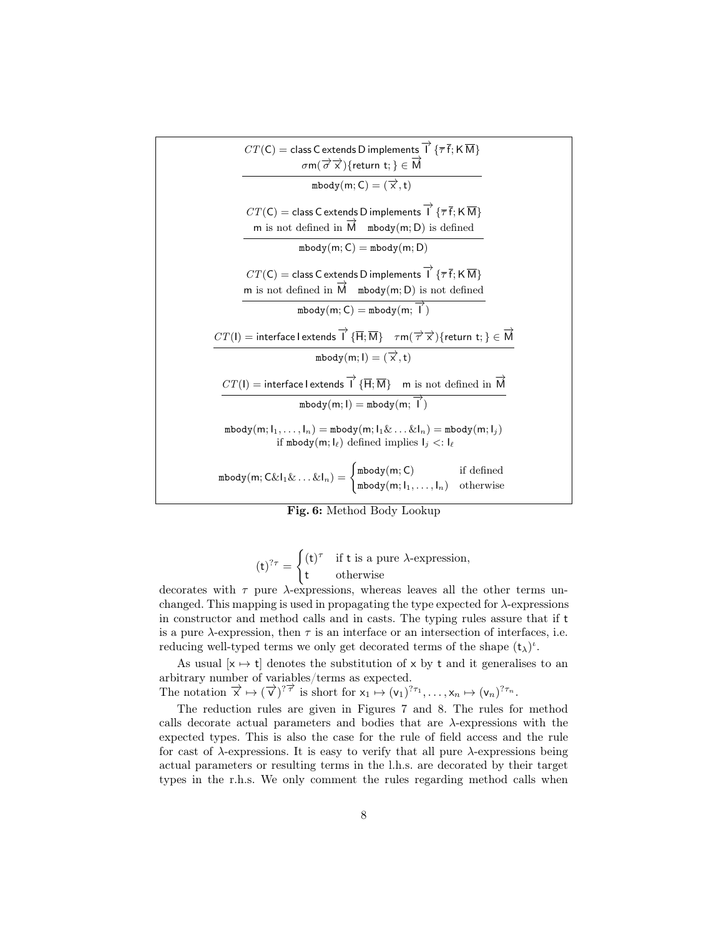| $CT(C) = \text{class C extends D implements } \overrightarrow{1} \{ \overline{\tau} \overline{f}; K \overline{M} \}$<br>$\sigma$ m $(\overrightarrow{\sigma} \overrightarrow{x})$ {return t; } $\in \overrightarrow{M}$                                                                                                                                           |  |  |
|-------------------------------------------------------------------------------------------------------------------------------------------------------------------------------------------------------------------------------------------------------------------------------------------------------------------------------------------------------------------|--|--|
| mbody $(m; C) = (\overrightarrow{x}, t)$                                                                                                                                                                                                                                                                                                                          |  |  |
| $CT(C) =$ class C extends D implements $\overrightarrow{1} \{ \overline{\tau} \overline{f}; K \overline{M} \}$<br>m is not defined in $\overline{M}$ mbody(m; D) is defined                                                                                                                                                                                       |  |  |
| $\text{mbody}(m; C) = \text{mbody}(m; D)$                                                                                                                                                                                                                                                                                                                         |  |  |
| $CT(\mathsf{C}) = \mathsf{class}\, \mathsf{C} \, \mathsf{extends}\, \mathsf{D} \, \mathsf{implements} \, \overrightarrow{\mathsf{I}} \, \, \{\overline{\tau}\, \overline{\mathsf{f}}; \mathsf{K}\, \overline{\mathsf{M}} \}$<br>m is not defined in $\overrightarrow{M}$ mbody(m; D) is not defined<br>$\text{mbody}(m; C) = \text{mbody}(m; \overrightarrow{1})$ |  |  |
| $CT(\mathsf{I})=\mathsf{interface}\, \mathsf{lextends}\,\overrightarrow{\mathsf{I}}\, \{\overline{\mathsf{H}}; \overline{\mathsf{M}}\} \quad \tau \mathsf{m}(\overrightarrow{\tau} \overrightarrow{x})\{\mathsf{return}\,\, \mathsf{t};\} \in \overrightarrow{\mathsf{M}}$                                                                                        |  |  |
| mbody $(m; I) = (\overrightarrow{x}, t)$                                                                                                                                                                                                                                                                                                                          |  |  |
| $CT(I)$ = interface lextends $\overrightarrow{I}$ { $\overrightarrow{H}$ ; $\overrightarrow{M}$ } m is not defined in $\overrightarrow{M}$                                                                                                                                                                                                                        |  |  |
| $\text{mbody}(m; I) = \text{mbody}(m; \overrightarrow{I})$                                                                                                                                                                                                                                                                                                        |  |  |
| $\text{mbody}(m; l_1, \ldots, l_n) = \text{mbody}(m; l_1 \& \ldots \& l_n) = \text{mbody}(m; l_j)$<br>if mbody(m; $I_{\ell}$ ) defined implies $I_j$ <: $I_{\ell}$                                                                                                                                                                                                |  |  |
| mbody(m; $C\&I_1\&\ldots\&I_n) = \begin{cases} \text{mbody}(m;C) & \text{if defined} \\ \text{mbody}(m;I_1,\ldots,I_n) & \text{otherwise} \end{cases}$                                                                                                                                                                                                            |  |  |

|  | Fig. 6: Method Body Lookup |  |  |
|--|----------------------------|--|--|
|--|----------------------------|--|--|

$$
(\mathsf{t})^{? \tau} = \begin{cases} (\mathsf{t})^{\tau} & \text{if } \mathsf{t} \text{ is a pure } \lambda \text{-expression,} \\ \mathsf{t} & \text{otherwise} \end{cases}
$$

decorates with  $\tau$  pure  $\lambda$ -expressions, whereas leaves all the other terms unchanged. This mapping is used in propagating the type expected for  $\lambda$ -expressions in constructor and method calls and in casts. The typing rules assure that if t is a pure  $\lambda$ -expression, then  $\tau$  is an interface or an intersection of interfaces, i.e. reducing well-typed terms we only get decorated terms of the shape  $(t_\lambda)^i$ .

As usual  $[x \mapsto t]$  denotes the substitution of x by t and it generalises to an arbitrary number of variables/terms as expected.

The notation  $\overrightarrow{x} \mapsto (\overrightarrow{v})^{? \overrightarrow{\tau}}$  is short for  $x_1 \mapsto (v_1)^{? \tau_1}, \ldots, x_n \mapsto (v_n)^{? \tau_n}$ .

The reduction rules are given in Figures 7 and 8. The rules for method calls decorate actual parameters and bodies that are  $\lambda$ -expressions with the expected types. This is also the case for the rule of field access and the rule for cast of  $\lambda$ -expressions. It is easy to verify that all pure  $\lambda$ -expressions being actual parameters or resulting terms in the l.h.s. are decorated by their target types in the r.h.s. We only comment the rules regarding method calls when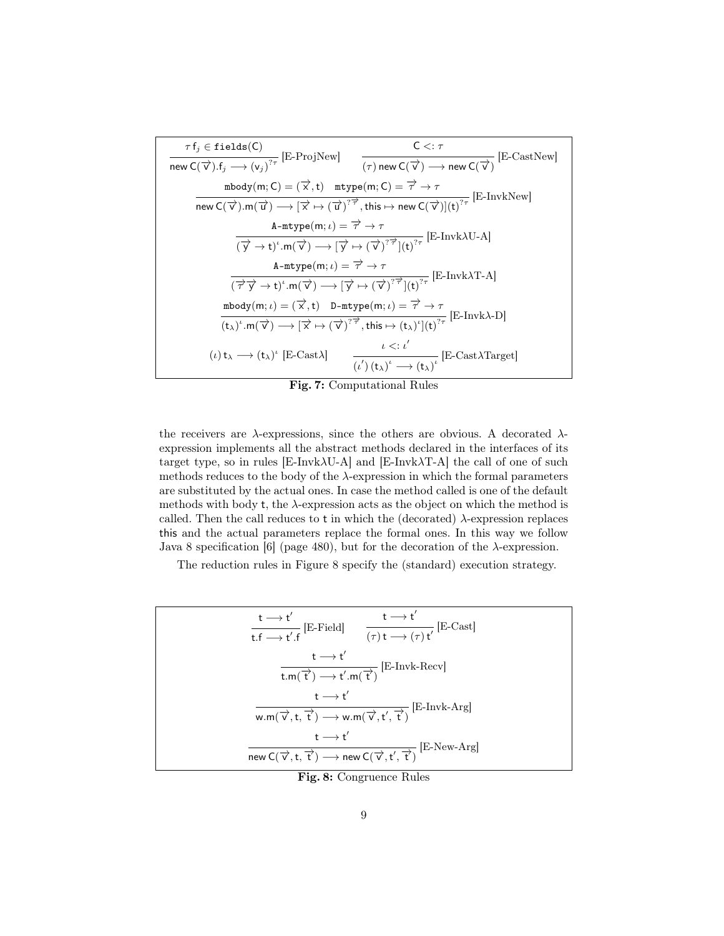$$
\tau f_j \in \text{fields}(C)
$$
\n
$$
\text{new } C(\overrightarrow{v}) . f_j \longrightarrow (v_j)^{2\tau} \text{ [E-ProjNew]} \qquad \frac{C \leq: \tau}{(\tau) \text{ new } C(\overrightarrow{v}) \longrightarrow \text{new } C(\overrightarrow{v})} \text{ [E-CastNew]}
$$
\n
$$
\text{mbody}(m; C) = (\overrightarrow{x}, t) \quad \text{mtype}(m; C) = \overrightarrow{\tau} \rightarrow \tau
$$
\n
$$
\text{new } C(\overrightarrow{v}) . m(\overrightarrow{u}) \longrightarrow [\overrightarrow{x} \mapsto (\overrightarrow{u})]^{2\overrightarrow{\tau}}, \text{ this} \mapsto \text{new } C(\overrightarrow{v})](t)^{2\tau} \text{ [E-InvkNew]}
$$
\n
$$
\text{A-mtype}(m; \iota) = \overrightarrow{\tau} \rightarrow \tau
$$
\n
$$
\text{A-mtype}(m; \iota) = \overrightarrow{\tau} \rightarrow \tau
$$
\n
$$
\text{A-mtype}(m; \iota) = \overrightarrow{\tau} \rightarrow \tau
$$
\n
$$
\text{A-mtype}(m; \iota) = \overrightarrow{\tau} \rightarrow \tau
$$
\n
$$
\text{mbody}(m; \iota) = (\overrightarrow{x}, t) \quad \text{D-mtype}(m; \iota) = \overrightarrow{\tau} \rightarrow \tau
$$
\n
$$
\text{mbody}(m; \iota) = (\overrightarrow{x}, t) \quad \text{D-mtype}(m; \iota) = \overrightarrow{\tau} \rightarrow \tau
$$
\n
$$
\text{(t\lambda)}. m(\overrightarrow{v}) \longrightarrow [\overrightarrow{x} \mapsto (\overrightarrow{v})]^{2\overrightarrow{\tau}}, \text{this} \mapsto (\tau_{\lambda})^t] (t)^{2\tau} \text{ [E-Invk-1]}
$$
\n
$$
\text{(t) } t_{\lambda} \longrightarrow (t_{\lambda})^t \text{ [E-Cast-1]} \qquad \text{A-Cast-1}
$$
\n
$$
\text{A-Cast-1}
$$
\n
$$
\text{A-Cast-1}
$$
\n
$$
\text{A-Cast-1}
$$
\n
$$
\text{A-Cast-1}
$$
\n
$$
\text{A-Csc-1}
$$
\n
$$
\text{A-Csc-1}
$$
\n
$$
\text{A-Csc-1}
$$
\n
$$
\text
$$

Fig. 7: Computational Rules

the receivers are  $\lambda$ -expressions, since the others are obvious. A decorated  $\lambda$ expression implements all the abstract methods declared in the interfaces of its target type, so in rules  $[{\rm E-Invk}\lambda{\rm U-A}]$  and  $[{\rm E-Invk}\lambda{\rm T-A}]$  the call of one of such methods reduces to the body of the  $\lambda$ -expression in which the formal parameters are substituted by the actual ones. In case the method called is one of the default methods with body t, the  $\lambda$ -expression acts as the object on which the method is called. Then the call reduces to  $t$  in which the (decorated)  $\lambda$ -expression replaces this and the actual parameters replace the formal ones. In this way we follow Java 8 specification [6] (page 480), but for the decoration of the  $\lambda$ -expression.

The reduction rules in Figure 8 specify the (standard) execution strategy.

$$
\frac{t \rightarrow t'}{t.f \rightarrow t'.f} \text{ [E-Field]} \qquad \frac{t \rightarrow t'}{(\tau) t \rightarrow (\tau) t'} \text{ [E-Cast]}
$$
\n
$$
\frac{t \rightarrow t'}{t.m(\vec{t}) \rightarrow t'.m(\vec{t})} \text{ [E-Invk-Recv]}
$$
\n
$$
\frac{t \rightarrow t'}{w.m(\vec{v}, t, \vec{t'}) \rightarrow w.m(\vec{v}, t', \vec{t'})} \text{ [E-Invk-Arg]}
$$
\n
$$
\frac{t \rightarrow t'}{t \rightarrow t'}
$$
\n
$$
\frac{t \rightarrow t'}{new C(\vec{v}, t, \vec{t'}) \rightarrow new C(\vec{v}, t', \vec{t'})} \text{ [E-New-Arg]}
$$

Fig. 8: Congruence Rules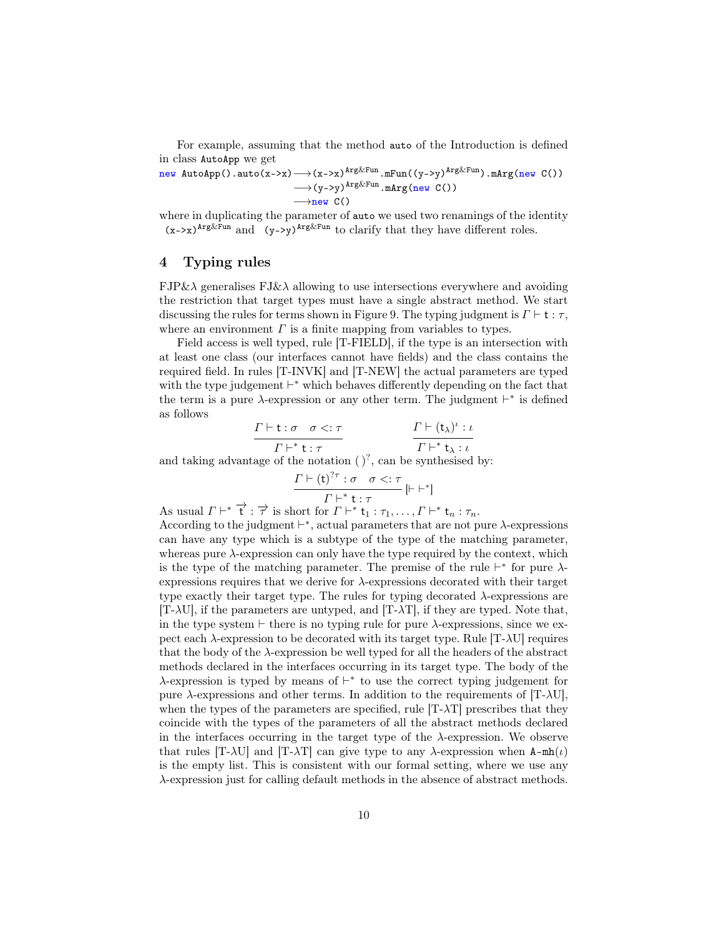For example, assuming that the method auto of the Introduction is defined in class AutoApp we get

new  $\text{AutoApp().auto}(x->x) \longrightarrow (x->x)^{\text{Arg\&Fun}}$ .mFun $((y->y)^{\text{Arg\&Fun}}$ .mArg(new C())  $\longrightarrow (y \rightarrow y)$ <sup>Arg&Fun</sup>.mArg(new C())  $\longrightarrow$ new C()

where in duplicating the parameter of auto we used two renamings of the identity  $(x-\lambda x)^{Arg\&Fun}$  and  $(y-\lambda y)^{Arg\&Fun}$  to clarify that they have different roles.

### 4 Typing rules

 $FJP\&\lambda$  generalises  $FJ\&\lambda$  allowing to use intersections everywhere and avoiding the restriction that target types must have a single abstract method. We start discussing the rules for terms shown in Figure 9. The typing judgment is  $\Gamma \vdash t : \tau$ , where an environment  $\Gamma$  is a finite mapping from variables to types.

Field access is well typed, rule [T-FIELD], if the type is an intersection with at least one class (our interfaces cannot have fields) and the class contains the required field. In rules [T-INVK] and [T-NEW] the actual parameters are typed with the type judgement  $\vdash^*$  which behaves differently depending on the fact that the term is a pure  $\lambda$ -expression or any other term. The judgment  $\vdash^*$  is defined as follows

$$
\frac{\Gamma \vdash t : \sigma \quad \sigma < : \tau}{\Gamma \vdash^* t : \tau} \qquad \qquad \frac{\Gamma \vdash (t_\lambda)^t : \iota}{\Gamma \vdash^* t_\lambda : \iota}
$$

and taking advantage of the notation  $()^?$ , can be synthesised by:

$$
\frac{\Gamma \vdash (\mathbf{t})^{? \tau} : \sigma \quad \sigma < : \tau}{\Gamma \vdash^* \mathbf{t} : \tau} \left[ \vdash \vdash^* \right]
$$

As usual  $\Gamma \vdash^* \overrightarrow{t} : \overrightarrow{\tau}$  is short for  $\Gamma \vdash^* t_1 : \tau_1, \ldots, \Gamma \vdash^* t_n : \tau_n$ . According to the judgment  $\vdash^*$ , actual parameters that are not pure  $\lambda$ -expressions can have any type which is a subtype of the type of the matching parameter, whereas pure  $\lambda$ -expression can only have the type required by the context, which is the type of the matching parameter. The premise of the rule  $\vdash^*$  for pure  $\lambda$ expressions requires that we derive for  $\lambda$ -expressions decorated with their target type exactly their target type. The rules for typing decorated  $\lambda$ -expressions are  $[T-\lambda U]$ , if the parameters are untyped, and  $[T-\lambda T]$ , if they are typed. Note that, in the type system  $\vdash$  there is no typing rule for pure  $\lambda$ -expressions, since we expect each  $\lambda$ -expression to be decorated with its target type. Rule [T- $\lambda$ U] requires that the body of the  $\lambda$ -expression be well typed for all the headers of the abstract methods declared in the interfaces occurring in its target type. The body of the  $\lambda$ -expression is typed by means of  $\vdash^*$  to use the correct typing judgement for pure  $\lambda$ -expressions and other terms. In addition to the requirements of [T- $\lambda$ U], when the types of the parameters are specified, rule  $[T-\lambda T]$  prescribes that they coincide with the types of the parameters of all the abstract methods declared in the interfaces occurring in the target type of the  $\lambda$ -expression. We observe that rules  $[T-\lambda U]$  and  $[T-\lambda T]$  can give type to any  $\lambda$ -expression when  $A-\text{mh}(\iota)$ is the empty list. This is consistent with our formal setting, where we use any λ-expression just for calling default methods in the absence of abstract methods.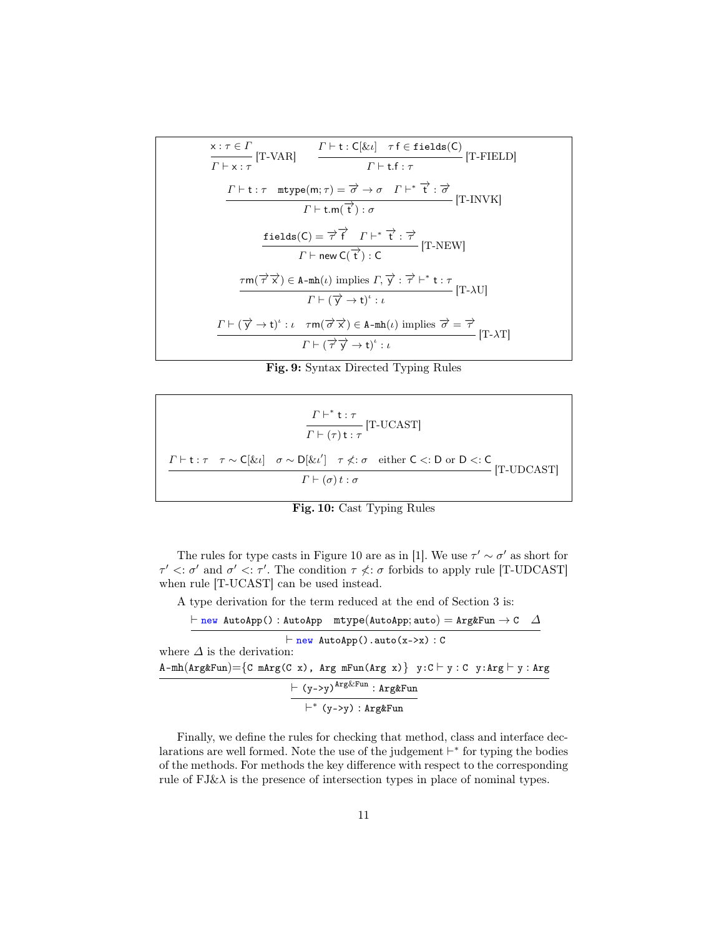$$
\frac{x:\tau \in \Gamma}{\Gamma \vdash x:\tau} [\text{T-VAR}] \qquad \frac{\Gamma \vdash t:C[\& \iota] \quad \tau \text{ f} \in \text{fields}(C)}{\Gamma \vdash t:\tau} [\text{T-FLLD}]
$$
\n
$$
\frac{\Gamma \vdash t:\tau \quad \text{mtype}(m;\tau) = \overrightarrow{\sigma} \rightarrow \sigma \quad \Gamma \vdash^* \overrightarrow{t}:\overrightarrow{\sigma}}{\Gamma \vdash \text{t.m}(\overrightarrow{t}):\sigma} [\text{T-INVK}]
$$
\n
$$
\frac{\text{fields}(C) = \overrightarrow{\tau} \overrightarrow{f} \quad \Gamma \vdash^* \overrightarrow{t}:\overrightarrow{\tau}}{\Gamma \vdash \text{new } C(\overrightarrow{t}):\text{C}} [\text{T-NEW}]
$$
\n
$$
\frac{\tau m(\overrightarrow{\tau} \overrightarrow{x}) \in \text{A-mh}(\iota) \text{ implies } \Gamma, \overrightarrow{y}:\overrightarrow{\tau} \vdash^* \text{t}:\tau}{\Gamma \vdash \forall \iota \forall \tau \vdash (\overrightarrow{y} \rightarrow t)^*:\iota} [\text{T-AU}]
$$
\n
$$
\frac{\Gamma \vdash (\overrightarrow{y} \rightarrow t)^*:\iota \quad \tau m(\overrightarrow{\sigma} \overrightarrow{x}) \in \text{A-mh}(\iota) \text{ implies } \overrightarrow{\sigma} = \overrightarrow{\tau}}{\Gamma \vdash \forall \tau \vdash (\overrightarrow{\tau} \overrightarrow{y} \rightarrow t)^*:\iota} [\text{T-AT}]
$$

Fig. 9: Syntax Directed Typing Rules

$$
\frac{\Gamma \vdash^* t : \tau}{\Gamma \vdash (\tau) t : \tau} [\text{T-UCAST}]
$$
\n
$$
\frac{\Gamma \vdash t : \tau \quad \tau \sim \text{C}[\&i] \quad \sigma \sim \text{D}[\&i'] \quad \tau \nless \tau \quad \text{either } C \lt;: D \text{ or } D \lt;: C}{\Gamma \vdash (\sigma) t : \sigma} [\text{T-UDCAST}]
$$

Fig. 10: Cast Typing Rules

The rules for type casts in Figure 10 are as in [1]. We use  $\tau' \sim \sigma'$  as short for  $\tau' \langle \tau' \rangle$  and  $\sigma' \langle \tau' \rangle$ . The condition  $\tau \langle \tau \rangle$  forbids to apply rule [T-UDCAST] when rule [T-UCAST] can be used instead.

A type derivation for the term reduced at the end of Section 3 is:

 $\vdash \texttt{new AutoApp()} : \texttt{AutoApp } \texttt{mtype}(\texttt{AutoApp}; \texttt{auto}) = \texttt{Arg} \& \texttt{Fun} \rightarrow \texttt{C} \quad \varDelta$  $\vdash$  new AutoApp().auto(x->x) : C where  $\Delta$  is the derivation:  $\mathtt{A\text{-}mh}(\mathtt{Arg}\&\mathtt{Fun}) {=} \{\mathtt{C}\ \mathtt{mArg}(\mathtt{C}\ \mathtt{x})\, ,\ \mathtt{Arg}\ \mathtt{mFun}(\mathtt{Arg}\ \mathtt{x})\} \ \mathtt{y{:}} \mathtt{C} \vdash \mathtt{y{:}} \mathtt{C}\ \mathtt{y{:}} \mathtt{Arg} \vdash \mathtt{y{:}} \mathtt{Arg}$  $\vdash$  (y->y)<sup>Arg&Fun</sup> : Arg&Fun ` ∗ (y->y) : Arg&Fun

Finally, we define the rules for checking that method, class and interface declarations are well formed. Note the use of the judgement  $\vdash^*$  for typing the bodies of the methods. For methods the key difference with respect to the corresponding rule of  $FJ\&\lambda$  is the presence of intersection types in place of nominal types.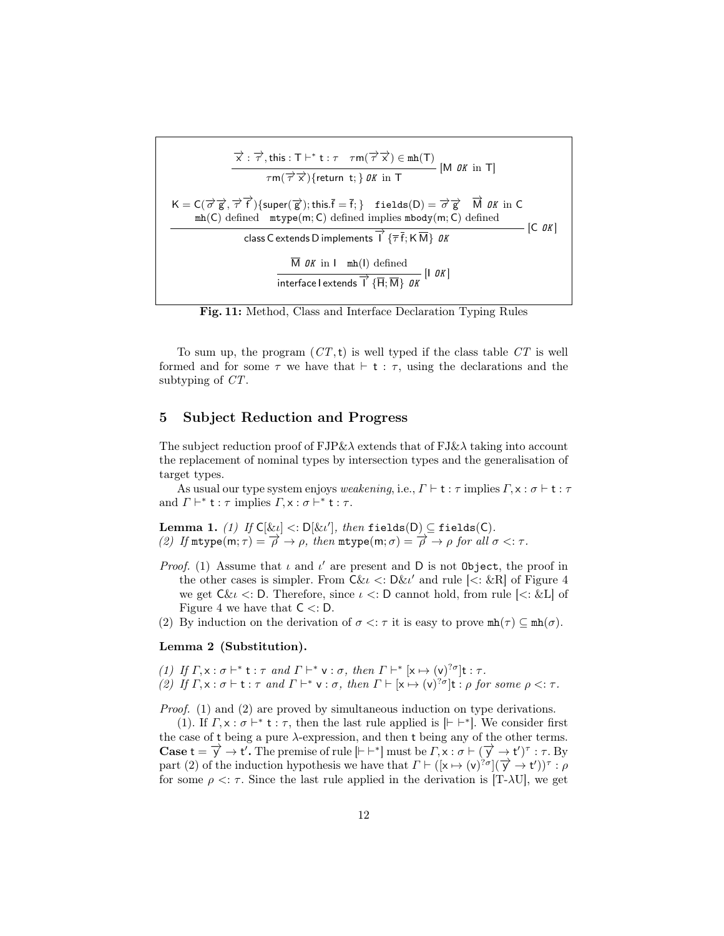$$
\frac{\overrightarrow{x} : \overrightarrow{\tau}, \text{this} : T \vdash^* t : \tau \quad \tau \mathsf{m}(\overrightarrow{\tau} \overrightarrow{x}) \in \text{mh}(T)}{\tau \mathsf{m}(\overrightarrow{\tau} \overrightarrow{x}) \{\text{return } t; \} \mathsf{OK} \text{ in } T} \text{ [M \text{ OK in } T]}
$$
\n
$$
K = C(\overrightarrow{\sigma} \overrightarrow{g}, \overrightarrow{\tau} \overrightarrow{f}) \{ \text{super}(\overrightarrow{g}); \text{this.} \overrightarrow{f} = \overrightarrow{f}; \} \quad \text{fields}(D) = \overrightarrow{\sigma} \overrightarrow{g} \quad \overrightarrow{M} \mathsf{OK} \text{ in } C \text{ mh}(C) \text{ defined } \text{mtype}(m; C) \text{ defined implies } \text{mbody}(m; C) \text{ defined}
$$
\n
$$
\text{class C extends D implements } \overrightarrow{I} \{ \overrightarrow{\tau} \overrightarrow{f}; \text{K} \overrightarrow{M} \} \mathsf{OK}
$$
\n
$$
\frac{\overrightarrow{M} \mathsf{OK} \text{ in } I \quad \text{mh}(I) \text{ defined}}{\text{interface I extends } \overrightarrow{I} \{ \overrightarrow{H}; \overrightarrow{M} \} \mathsf{OK}} \text{ [I \text{ OK}]}
$$

Fig. 11: Method, Class and Interface Declaration Typing Rules

To sum up, the program  $(CT, t)$  is well typed if the class table  $CT$  is well formed and for some  $\tau$  we have that  $\vdash$  t :  $\tau$ , using the declarations and the subtyping of CT.

#### 5 Subject Reduction and Progress

The subject reduction proof of  $FJ\&\lambda$  extends that of  $FJ\&\lambda$  taking into account the replacement of nominal types by intersection types and the generalisation of target types.

As usual our type system enjoys weakening, i.e.,  $\Gamma \vdash t : \tau$  implies  $\Gamma, \times : \sigma \vdash t : \tau$ and  $\Gamma \vdash^* \mathsf{t} : \tau \text{ implies } \Gamma, \mathsf{x} : \sigma \vdash^* \mathsf{t} : \tau.$ 

**Lemma 1.** (1) If  $C[\ι] < D[\ι']$ , then fields(D)  $\subseteq$  fields(C). (2) If  $m \text{type}(m; \tau) = \overrightarrow{\rho} \rightarrow \rho$ , then  $m \text{type}(m; \sigma) = \overrightarrow{\rho} \rightarrow \rho$  for all  $\sigma \leq \tau$ .

- Proof. (1) Assume that  $\iota$  and  $\iota'$  are present and D is not Object, the proof in the other cases is simpler. From  $C\&u < \Delta u'$  and rule  $\langle \angle : \&R \rangle$  of Figure 4 we get  $C\&u$  <: D. Therefore, since  $u$  <: D cannot hold, from rule  $\leq \&L$  of Figure 4 we have that  $C \leq D$ .
- (2) By induction on the derivation of  $\sigma \leq \tau$  it is easy to prove  $mh(\tau) \subseteq mh(\sigma)$ .

#### Lemma 2 (Substitution).

(1) If  $\Gamma, \mathsf{x} : \sigma \vdash^* \mathsf{t} : \tau \text{ and } \Gamma \vdash^* \mathsf{v} : \sigma, \text{ then } \Gamma \vdash^* [\mathsf{x} \mapsto (\mathsf{v})]^\sigma \mathsf{t} : \tau.$ (2) If  $\Gamma, \times : \sigma \vdash t : \tau$  and  $\Gamma \vdash^* \vee : \sigma$ , then  $\Gamma \vdash [\times \mapsto (\vee)^{? \sigma}] t : \rho$  for some  $\rho \leq : \tau$ .

Proof. (1) and (2) are proved by simultaneous induction on type derivations.

(1). If  $\Gamma, \times : \sigma \vdash^* t : \tau$ , then the last rule applied is  $[\vdash \vdash^*]$ . We consider first the case of t being a pure  $\lambda$ -expression, and then t being any of the other terms. Case  $t = \overrightarrow{y} \rightarrow t'$ . The premise of rule  $\vert \vert + \vert^* \vert$  must be  $\Gamma, x : \sigma \vdash (\overrightarrow{y} \rightarrow t')^{\tau} : \tau$ . By part (2) of the induction hypothesis we have that  $\Gamma \vdash ([x \mapsto (v)^{2\sigma}](\overrightarrow{y} \rightarrow t'))^{\tau} : \rho$ for some  $\rho \leq \tau$ . Since the last rule applied in the derivation is [T- $\lambda$ U], we get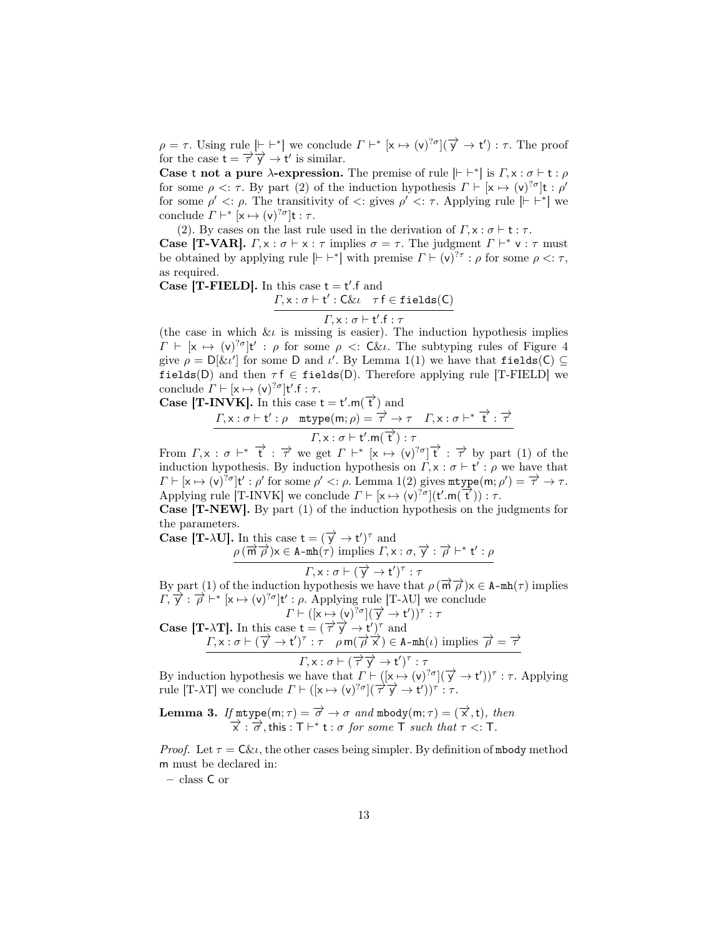$\rho = \tau$ . Using rule  $\lbrack \vdash \vdash^* \rbrack$  we conclude  $\Gamma \vdash^* [\mathsf{x} \mapsto (\mathsf{v})^{? \sigma}](\overrightarrow{\mathsf{y}} \to \mathsf{t}') : \tau$ . The proof for the case  $t = \overrightarrow{\tau} \overrightarrow{y} \rightarrow t'$  is similar.

Case t not a pure  $\lambda$ -expression. The premise of rule  $\vert \vdash \vert^{*} \vert$  is  $\Gamma, \times : \sigma \vdash t : \rho$ for some  $\rho \leq \tau$ . By part (2) of the induction hypothesis  $\Gamma \vdash [\mathsf{x} \mapsto (\mathsf{v})^{2\sigma}]\mathsf{t} : \rho'$ for some  $\rho' \leq \rho$ . The transitivity of  $\leq$ : gives  $\rho' \leq \tau$ . Applying rule  $\lbrack \vdash \vdash^* \rbrack$  we conclude  $\Gamma \vdash^* [\mathsf{x} \mapsto (\mathsf{v})^{? \sigma}] \mathsf{t} : \tau.$ 

(2). By cases on the last rule used in the derivation of  $\Gamma, \times : \sigma \vdash t : \tau$ .

**Case [T-VAR].**  $\Gamma, \times : \sigma \vdash \times : \tau$  implies  $\sigma = \tau$ . The judgment  $\Gamma \vdash^* \vee : \tau$  must be obtained by applying rule  $[{\vdash} \vdash^*]$  with premise  $\Gamma \vdash (v)^{? \tau} : \rho$  for some  $\rho \leq : \tau$ , as required.

Case [T-FIELD]. In this case  $t = t'.f$  and  $\Gamma, \times : \sigma \vdash t' : C \& \iota \quad \tau \vdash \in \mathtt{fields}(C)$ 

$$
\boxed{\varGamma, \mathsf{x} : \sigma \vdash \mathsf{t}'. \mathsf{f} : \tau}
$$

(the case in which  $\ι$  is missing is easier). The induction hypothesis implies  $\Gamma \vdash [\mathsf{x} \mapsto (\mathsf{v})^{? \sigma}] \mathsf{t}' : \rho \text{ for some } \rho \ll \mathsf{C} \& \iota$ . The subtyping rules of Figure 4 give  $\rho = D[\ι']$  for some D and  $\iota'$ . By Lemma 1(1) we have that fields(C)  $\subseteq$ fields(D) and then  $\tau f \in \text{fields}(D)$ . Therefore applying rule [T-FIELD] we conclude  $\Gamma \vdash [\mathsf{x} \mapsto (\mathsf{v})^{? \sigma}] \mathsf{t}'.\mathsf{f} : \tau.$ 

Case  $[T-INVK]$ . In this case  $t = t'.m(\vec{t})$  and

$$
\frac{\Gamma, x : \sigma \vdash t' : \rho \quad \text{mtype}(m; \rho) = \overrightarrow{\tau} \rightarrow \tau \quad \Gamma, x : \sigma \vdash^{*} \overrightarrow{t} : \overrightarrow{\tau}}{\Gamma, x : \sigma \vdash t' . m(\overrightarrow{t}) : \tau}
$$

From  $\Gamma, \times : \sigma \vdash^* \overrightarrow{t} : \overrightarrow{\tau}$  we get  $\Gamma \vdash^* [x \mapsto (v)^{2\sigma}] \overrightarrow{t} : \overrightarrow{\tau}$  by part (1) of the induction hypothesis. By induction hypothesis on  $\Gamma, \mathsf{x} : \sigma \vdash \mathsf{t}' : \rho$  we have that  $\Gamma \vdash [\mathsf{x} \mapsto (\mathsf{v})^{2\sigma}] \mathsf{t}' : \rho'$  for some  $\rho' < \colon \rho$ . Lemma 1(2) gives  $\text{mtype}(\mathsf{m}; \rho') = \overrightarrow{\tau} \to \tau$ . Applying rule [T-INVK] we conclude  $\Gamma \vdash [\mathsf{x} \mapsto (\mathsf{v})]^\mathsf{7\sigma}(\mathsf{t}^\prime \cdot \mathsf{m}(\overrightarrow{\mathsf{t}})) : \tau$ .

Case [T-NEW]. By part (1) of the induction hypothesis on the judgments for the parameters.

**Case [T-** $\lambda$ **U]**. In this case  $t = (\overrightarrow{y} \rightarrow t')^{\tau}$  and  $\rho(\vec{m}\vec{\rho})$   $\times \in$  A-mh( $\tau$ ) implies  $\Gamma$ ,  $\times : \sigma$ ,  $\vec{y}$  :  $\vec{\rho}$  +\* t' :  $\rho$ 

$$
\Gamma, x : \sigma \vdash (\overrightarrow{y} \rightarrow t')^{\tau} : \tau
$$

By part (1) of the induction hypothesis we have that  $\rho(\vec{m} \vec{\rho})$   $\times \in$  A-mh( $\tau$ ) implies  $T, \overrightarrow{y} : \overrightarrow{\rho} \mapsto [\mathbf{x} \mapsto (\mathbf{v})^{2\sigma}] \mathbf{t}' : \rho$ . Applying rule [T- $\lambda$ U] we conclude

Case [T-
$$
\lambda
$$
T]. In this case  $t = (\overrightarrow{\tau} \overrightarrow{y} \rightarrow t')^{\tau}$  and  
\n
$$
T + ([x \rightarrow (v)^{2\sigma}](\overrightarrow{y} \rightarrow t'))^{\tau} : \tau
$$
\nCase [T- $\lambda$ T]. In this case  $t = (\overrightarrow{\tau} \overrightarrow{y} \rightarrow t')^{\tau}$  and  
\n
$$
T, x : \sigma \vdash (\overrightarrow{y} \rightarrow t')^{\tau} : \tau \quad \rho \text{ m}(\overrightarrow{\rho} \overrightarrow{x}) \in A-\text{mh}(\iota) \text{ implies } \overrightarrow{\rho} = \overrightarrow{\tau}
$$
\n
$$
T, x : \sigma \vdash (\overrightarrow{\tau} \overrightarrow{y} \rightarrow t')^{\tau} : \tau
$$

By induction hypothesis we have that  $\Gamma \vdash (x \mapsto (v)^{2\sigma})(\overrightarrow{y} \to t')^{\tau} : \tau$ . Applying  $\text{rule } [\text{T}-\lambda \text{T}]$  we conclude  $\Gamma \vdash ([\textbf{x} \mapsto (\textbf{v})^{2\sigma}](\overrightarrow{\tau} \overrightarrow{\textbf{y}} \rightarrow \textbf{t}'))^{\tau}$ : *τ*.

**Lemma 3.** If  $m$ type $(m; \tau) = \overrightarrow{\sigma} \rightarrow \sigma$  and  $m$ body $(m; \tau) = (\overrightarrow{x}, t)$ , then  $\overrightarrow{x}$ :  $\overrightarrow{\sigma}$ , this : T  $\vdash^*$  t :  $\sigma$  for some T such that  $\tau$  <: T.

*Proof.* Let  $\tau = C\ι$ , the other cases being simpler. By definition of mbody method m must be declared in:

– class C or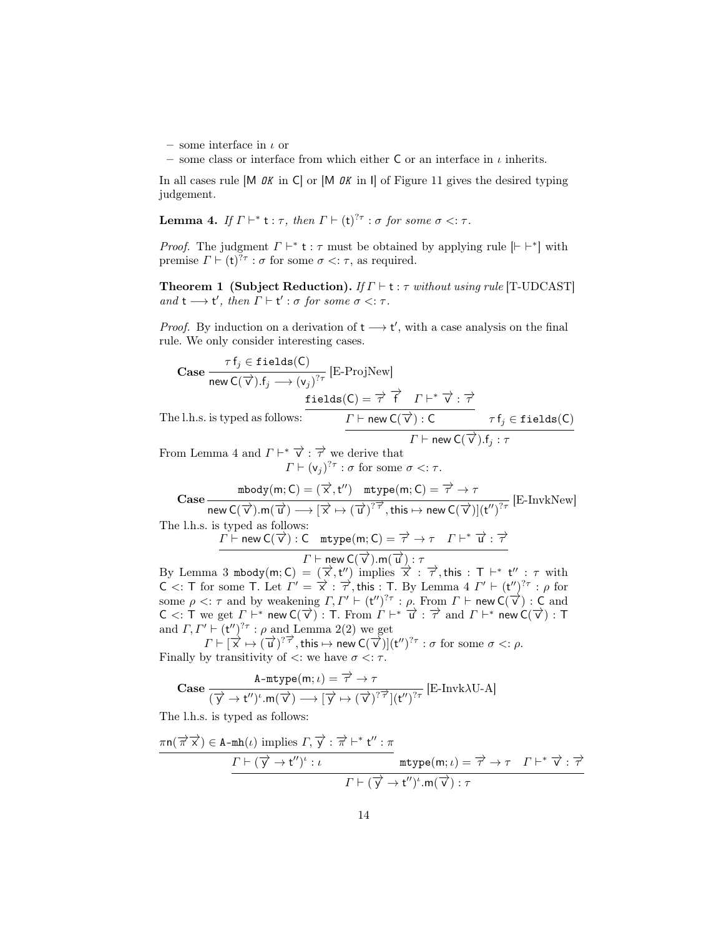– some interface in  $\iota$  or

– some class or interface from which either C or an interface in  $\iota$  inherits.

In all cases rule  $[M \t{OK} \t{in C}]$  or  $[M \t{OK} \t{in I}]$  of Figure 11 gives the desired typing judgement.

**Lemma 4.** If  $\Gamma \vdash^* t : \tau$ , then  $\Gamma \vdash (t)^{? \tau} : \sigma$  for some  $\sigma \leq : \tau$ .

*Proof.* The judgment  $\Gamma \vdash^* t : \tau$  must be obtained by applying rule  $[\vdash \vdash^*]$  with premise  $\Gamma \vdash (\mathsf{t})^{? \tau} : \sigma$  for some  $\sigma \leq \tau$ , as required.

**Theorem 1 (Subject Reduction).** If  $\Gamma \vdash t : \tau$  without using rule [T-UDCAST] and  $t \longrightarrow t'$ , then  $\Gamma \vdash t' : \sigma$  for some  $\sigma < \tau$ .

*Proof.* By induction on a derivation of  $t \rightarrow t'$ , with a case analysis on the final rule. We only consider interesting cases.

Case 
$$
\frac{\tau f_j \in \text{fields}(C)}{\text{new } C(\overrightarrow{v}), f_j \longrightarrow (v_j)^{7\tau}} [\text{E-ProjNew}]
$$
  
fields(C) =  $\overrightarrow{\tau}$   $\overrightarrow{f}$   $\Gamma \vdash^* \overrightarrow{v} : \overrightarrow{\tau}$ 

The l.h.s. is typed as follows:  $\overline{\Gamma \vdash \mathsf{new}\, \mathsf{C}(\overrightarrow{\mathsf{v}}) : \mathsf{C}}$   $\tau \mathsf{f}_j \in \mathtt{fields}(\mathsf{C})$  $\overline{\Gamma \vdash \mathsf{new}\, \mathsf{C}(\overrightarrow{\mathsf{v}}) . \mathsf{f}_j : \tau}$ 

From Lemma 4 and  $\Gamma \vdash^* \overrightarrow{v} : \overrightarrow{\tau}$  we derive that  $\Gamma \vdash (\mathsf{v}_j)^{? \tau} : \sigma \text{ for some } \sigma \leq : \tau.$ 

Case  
\n
$$
\begin{array}{c}\n\text{mbody}(m; C) = (\overrightarrow{x}, t'') \quad \text{mtype}(m; C) = \overrightarrow{\tau} \to \tau \\
\text{new } C(\overrightarrow{v}) . m(\overrightarrow{u}) \longrightarrow [\overrightarrow{x} \mapsto (\overrightarrow{u})]^{7} \overrightarrow{\tau}, \text{this} \mapsto \text{new } C(\overrightarrow{v})](t'')^{7} \tau} [\text{E-InvkNew}] \\
\text{The l.h.s. is typed as follows:} \\
\Gamma \vdash \text{new } C(\overrightarrow{v}) : C \quad \text{mtype}(m; C) = \overrightarrow{\tau} \to \tau \quad \Gamma \vdash^* \overrightarrow{u} : \overrightarrow{\tau}\n\end{array}
$$

$$
\Gamma \vdash \mathsf{new} \ \mathsf{C}(\overrightarrow{\mathsf{v}}) . \mathsf{m}(\overrightarrow{\mathsf{u}}) : \tau
$$

By Lemma 3 mbody(m; C) =  $(\vec{x}, t'')$  implies  $\vec{x}$  :  $\vec{\tau}$ , this : T  $\vdash^* t''$  :  $\tau$  with  $C$  <: T for some T. Let  $\Gamma' = \overrightarrow{x}$ :  $\overrightarrow{\tau}$ , this : T. By Lemma 4  $\Gamma' \vdash (t'')^{2\tau}$ : ρ for some  $\rho < \tau$  and by weakening  $\Gamma, \Gamma' \vdash (\mathfrak{t}'')^{\gamma} \tau : \rho$ . From  $\Gamma \vdash \mathsf{new} \mathsf{C}(\overrightarrow{\mathsf{v}}) : \mathsf{C}$  and  $C <: T$  we get  $\Gamma \vdash^*$  new  $C(\vec{\nu}) : T$ . From  $\Gamma \vdash^* \vec{u} : \vec{\tau}$  and  $\Gamma \vdash^*$  new  $C(\vec{\nu}) : T$ . and  $\Gamma, \Gamma' \vdash (\mathsf{t}'')^{? \tau} : \rho$  and Lemma 2(2) we get

 $\Gamma \vdash [\overrightarrow{x} \mapsto (\overrightarrow{u})]^{7}$ , this  $\mapsto$  new  $C(\overrightarrow{v})](t'')^{7}$  :  $\sigma$  for some  $\sigma \leq \rho$ . Finally by transitivity of  $\lt$ : we have  $\sigma \lt$ :  $\tau$ .

$$
\text{Case } \frac{\text{A-mtype}(m;\iota) = \overrightarrow{\tau} \rightarrow \tau}{(\overrightarrow{y} \rightarrow t'')'.m(\overrightarrow{v}) \longrightarrow [\overrightarrow{y} \mapsto (\overrightarrow{v})^{? \overrightarrow{\tau}}](t'')^{? \tau}} \left[ \text{E-Invk}\lambda \text{U-A} \right]
$$

The l.h.s. is typed as follows:

$$
\frac{\pi n(\overrightarrow{\pi} \overrightarrow{x}) \in A-mh(\iota) \text{ implies } \Gamma, \overrightarrow{y} : \overrightarrow{\pi} \vdash^* t'': \pi}{\frac{\Gamma \vdash (\overrightarrow{y} \to t'')^{\iota} : \iota}{\Gamma \vdash (\overrightarrow{y} \to t'')^{\iota} \cdot m(\overrightarrow{x}) : \tau} \qquad \qquad \pi \vdash^* \overrightarrow{y} : \overrightarrow{\tau} \vdash^* \overrightarrow{y} : \overrightarrow{\tau}
$$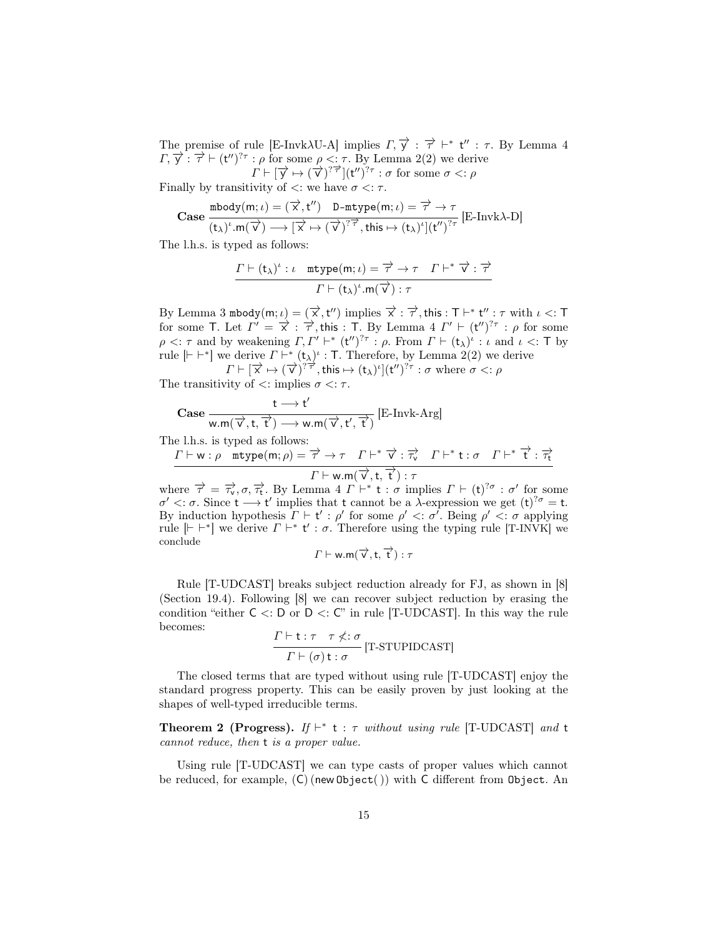The premise of rule [E-Invk $\lambda$ U-A] implies  $\Gamma$ ,  $\overrightarrow{y}$  :  $\overrightarrow{\tau}$  +\* **t**" :  $\tau$ . By Lemma 4  $\Gamma$ ,  $\overrightarrow{y}$ :  $\overrightarrow{\tau}$  + (t'')<sup>2</sup> $\tau$ :  $\rho$  for some  $\rho < \tau$ . By Lemma 2(2) we derive  $\Gamma \vdash [\overrightarrow{y} \mapsto (\overrightarrow{v})^{? \overrightarrow{\tau}}](t'')^{? \tau} : \sigma \text{ for some } \sigma \leq: \rho$ 

Finally by transitivity of  $\lt$ : we have  $\sigma \lt$ :  $\tau$ .

$$
\text{Case } \frac{\text{mbody}(m;\iota) = (\overrightarrow{x},t'') \quad \text{D-mtype}(m;\iota) = \overrightarrow{\tau} \rightarrow \tau}{(t_{\lambda})^{\iota}.m(\overrightarrow{v}) \longrightarrow [\overrightarrow{x} \mapsto (\overrightarrow{v})^{\gamma}\overrightarrow{\tau}, this \mapsto (t_{\lambda})^{\iota}](t'')^{\gamma}\tau} \text{ [E-Invk\lambda-D]}
$$

The l.h.s. is typed as follows:

$$
\frac{\Gamma \vdash (\mathsf{t}_{\lambda})^{\iota} : \iota \quad \texttt{mtype}(m; \iota) = \overrightarrow{\tau} \rightarrow \tau \quad \Gamma \vdash^{*} \overrightarrow{\nu} : \overrightarrow{\tau}}{\Gamma \vdash (\mathsf{t}_{\lambda})^{\iota} . \mathsf{m}(\overrightarrow{\nu}) : \tau}
$$

By Lemma 3 mbody $(m; \iota) = (\overrightarrow{x}, t'')$  implies  $\overrightarrow{x} : \overrightarrow{\tau}$ , this : T  $\vdash^* t'' : \tau$  with  $\iota <: T$ for some T. Let  $\Gamma' = \overrightarrow{x}$ :  $\overrightarrow{\tau}$ , this : T. By Lemma 4  $\Gamma' \vdash (\mathsf{t}'')^{2\tau}$ :  $\rho$  for some  $\rho \leq \tau$  and by weakening  $\Gamma, \Gamma' \vdash^* (\mathsf{t}'')^{? \tau} : \rho$ . From  $\Gamma \vdash (\mathsf{t}_{\lambda})^{\iota} : \iota$  and  $\iota \leq \tau$  by rule  $[{\vdash} \vdash^*]$  we derive  $\Gamma \vdash^* (\mathsf{t}_{\lambda})^{\iota}$ : T. Therefore, by Lemma 2(2) we derive

 $\Gamma \vdash [\vec{x} \mapsto (\vec{v})^{\frac{2\pi}{7}}]$ , this  $\mapsto (t_{\lambda})^{\iota}](t^{\prime\prime})^{2\tau}$ :  $\sigma$  where  $\sigma < \varepsilon$ .  $\rho$ The transitivity of  $\lt$ : implies  $\sigma \lt$ :  $\tau$ .

$$
\text{Case} \, \frac{t \longrightarrow t'}{w.m(\overrightarrow{v},t,\overrightarrow{t'}) \longrightarrow w.m(\overrightarrow{v},t',\overrightarrow{t'})} \left[ \text{E-Invk-Arg} \right]
$$

The l.h.s. is typed as follows:

$$
\frac{\Gamma \vdash w : \rho \text{ mtype}(m; \rho) = \overrightarrow{\tau} \rightarrow \tau \quad \Gamma \vdash^* \overrightarrow{v} : \overrightarrow{\tau_v} \quad \Gamma \vdash^* t : \sigma \quad \Gamma \vdash^* \overrightarrow{t} : \overrightarrow{\tau_t}}{\Gamma \vdash w . \mathsf{m}(\overrightarrow{v}, t, \overrightarrow{t}) : \tau}
$$

where  $\vec{\tau} = \vec{\tau}_v, \sigma, \vec{\tau}_t$ . By Lemma 4  $\Gamma \vdash^* t : \sigma$  implies  $\Gamma \vdash (t)^{2\sigma} : \sigma'$  for some  $σ' < : σ$ . Since t → t' implies that t cannot be a λ-expression we get (t)<sup>?</sup><sup> $σ$ </sup> = t. By induction hypothesis  $\Gamma \vdash t' : \rho'$  for some  $\rho' \prec : \sigma'$ . Being  $\rho' \prec : \sigma$  applying rule  $[{\vdash} \vdash^*]$  we derive  $\Gamma \vdash^* t' : \sigma$ . Therefore using the typing rule [T-INVK] we conclude

$$
\Gamma \vdash {\sf w.m}(\overrightarrow{\mathsf{v}},\mathsf{t},\overrightarrow{\mathsf{t}}): \tau
$$

Rule [T-UDCAST] breaks subject reduction already for FJ, as shown in [8] (Section 19.4). Following [8] we can recover subject reduction by erasing the condition "either  $C \lt: D$  or  $D \lt: C$ " in rule [T-UDCAST]. In this way the rule becomes:

$$
\frac{\Gamma \vdash t : \tau \quad \tau \nlessdot \sigma}{\Gamma \vdash (\sigma) \, t : \sigma} \, [\text{T-STUPIDCAST}]
$$

The closed terms that are typed without using rule [T-UDCAST] enjoy the standard progress property. This can be easily proven by just looking at the shapes of well-typed irreducible terms.

**Theorem 2 (Progress).** If  $\vdash^*$  **t** :  $\tau$  without using rule [T-UDCAST] and **t** cannot reduce, then t is a proper value.

Using rule [T-UDCAST] we can type casts of proper values which cannot be reduced, for example, (C) (new Object( )) with C different from Object. An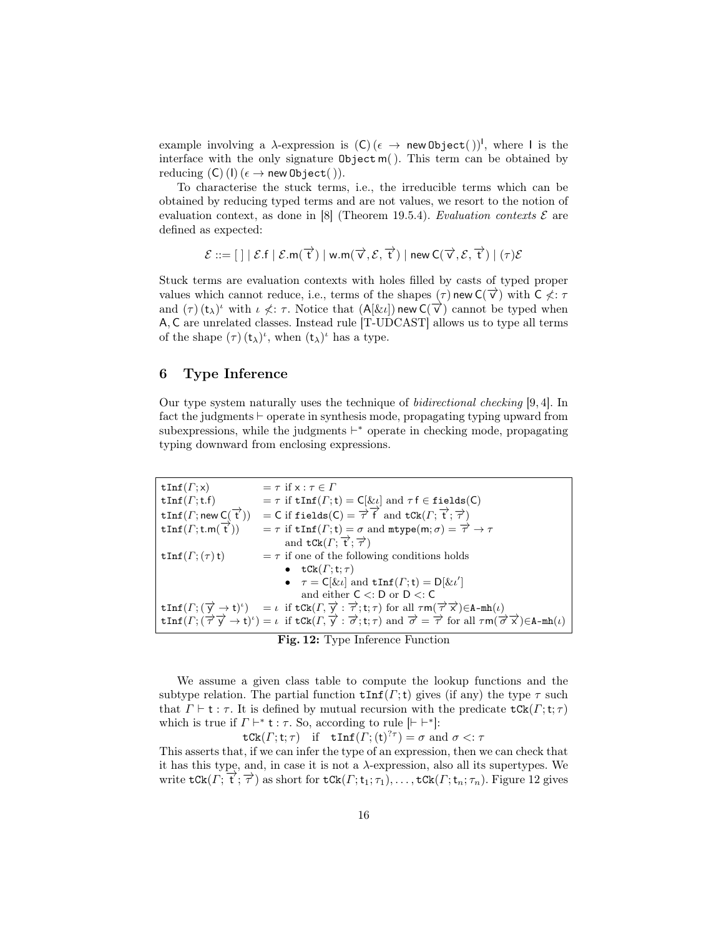example involving a  $\lambda$ -expression is  $(C)$  ( $\epsilon \to \text{new Object}()$ )<sup>1</sup>, where I is the interface with the only signature  $\text{Object} \, \text{m}$ . This term can be obtained by reducing  $(C)$  (I)  $(\epsilon \rightarrow \text{new Object}()$ ).

To characterise the stuck terms, i.e., the irreducible terms which can be obtained by reducing typed terms and are not values, we resort to the notion of evaluation context, as done in [8] (Theorem 19.5.4). Evaluation contexts  $\mathcal E$  are defined as expected:

$$
\mathcal{E} ::= [\ ] \ | \ \mathcal{E}.f \ | \ \mathcal{E}.m(\overrightarrow{t}) \ | \ w.m(\overrightarrow{v},\mathcal{E},\overrightarrow{t}) \ | \ new \ C(\overrightarrow{v},\mathcal{E},\overrightarrow{t}) \ | \ (\tau)\mathcal{E}
$$

Stuck terms are evaluation contexts with holes filled by casts of typed proper values which cannot reduce, i.e., terms of the shapes  $(\tau)$  new  $C(\vec{v})$  with  $C \nless \tau$ and  $(\tau)$  ( $t_{\lambda}$ )<sup>*i*</sup> with  $\iota \nless \tau$ . Notice that  $(A[\ι])$  new  $C(\vec{v})$  cannot be typed when A, C are unrelated classes. Instead rule [T-UDCAST] allows us to type all terms of the shape  $(\tau)$   $(t_\lambda)^i$ , when  $(t_\lambda)^i$  has a type.

## 6 Type Inference

Our type system naturally uses the technique of bidirectional checking [9, 4]. In fact the judgments  $\vdash$  operate in synthesis mode, propagating typing upward from subexpressions, while the judgments  $\vdash^*$  operate in checking mode, propagating typing downward from enclosing expressions.

| $\texttt{tInf}(\Gamma; \mathsf{x})$             | $=\tau$ if $x : \tau \in \Gamma$                                                                                                                                                                                                                                                                             |
|-------------------------------------------------|--------------------------------------------------------------------------------------------------------------------------------------------------------------------------------------------------------------------------------------------------------------------------------------------------------------|
| $\texttt{tInf}(F;\texttt{t.f})$                 | $= \tau$ if $\text{tInf}(F; \mathbf{t}) = C[\ι]$ and $\tau f \in \text{fields}(C)$                                                                                                                                                                                                                           |
| $\texttt{tInf}(\Gamma; \text{new } C(\vec{t}))$ | = C if fields (C) = $\overrightarrow{\tau}$ $\overrightarrow{f}$ and tCk $(\Gamma; \overrightarrow{t}; \overrightarrow{\tau})$                                                                                                                                                                               |
| $\text{tInf}(F;\text{t.m}(\overrightarrow{t}))$ | $= \tau$ if $\text{tInf}(F; \mathbf{t}) = \sigma$ and $\text{mtype}(m; \sigma) = \overrightarrow{\tau} \to \tau$                                                                                                                                                                                             |
|                                                 | and $\texttt{tCk}(\Gamma;\vec{\tau};\vec{\tau})$                                                                                                                                                                                                                                                             |
| $\texttt{tInf}(\Gamma; (\tau) \texttt{t})$      | $=\tau$ if one of the following conditions holds                                                                                                                                                                                                                                                             |
|                                                 | • $\text{tCk}(\Gamma; \text{t}; \tau)$                                                                                                                                                                                                                                                                       |
|                                                 | • $\tau = C[\ι]$ and $\text{tInf}(F; \mathbf{t}) = D[\ι']$                                                                                                                                                                                                                                                   |
|                                                 | and either $C \lt: D$ or $D \lt: C$                                                                                                                                                                                                                                                                          |
|                                                 | $\text{tInf}(F; (\overrightarrow{y} \rightarrow t)^{\iota}) = \iota$ if $\text{tCk}(F, \overrightarrow{y} : \overrightarrow{\tau}; t; \tau)$ for all $\tau m(\overrightarrow{\tau} \overrightarrow{x}) \in A-\text{mh}(\iota)$                                                                               |
|                                                 | $\text{tInf}(F; (\overrightarrow{\tau} \overrightarrow{y} \rightarrow t)^{\nu}) = \iota$ if $\text{tCk}(F, \overrightarrow{y} : \overrightarrow{\sigma}; t; \tau)$ and $\overrightarrow{\sigma} = \overrightarrow{\tau}$ for all $\tau m(\overrightarrow{\sigma} \overrightarrow{x}) \in A-\text{mh}(\iota)$ |

Fig. 12: Type Inference Function

We assume a given class table to compute the lookup functions and the subtype relation. The partial function  $\text{tnf}(\Gamma; t)$  gives (if any) the type  $\tau$  such that  $\Gamma \vdash t : \tau$ . It is defined by mutual recursion with the predicate  $tCk(\Gamma;t;\tau)$ which is true if  $\Gamma \vdash^* t : \tau$ . So, according to rule  $\lvert \vdash \vdash^* \rvert$ :

 $\mathsf{tCk}(\Gamma; \mathsf{t}; \tau)$  if  $\mathsf{tInf}(\Gamma; (\mathsf{t})^{? \tau}) = \sigma$  and  $\sigma <: \tau$ 

This asserts that, if we can infer the type of an expression, then we can check that it has this type, and, in case it is not a  $\lambda$ -expression, also all its supertypes. We write  $\texttt{tCk}(\Gamma;\vec{t};\vec{\tau})$  as short for  $\texttt{tCk}(\Gamma;\mathsf{t}_1;\tau_1),\ldots,\texttt{tCk}(\Gamma;\mathsf{t}_n;\tau_n)$ . Figure 12 gives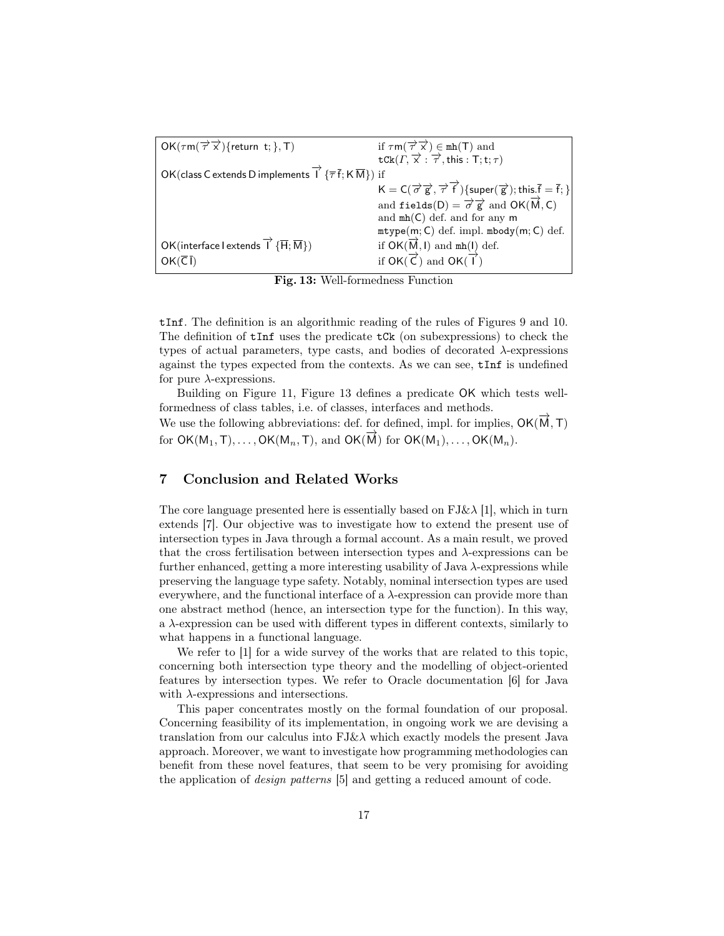| $OK(\tau m(\overrightarrow{\tau}\overrightarrow{x})$ {return t; }, T)                                                              | if $\tau m(\overrightarrow{\tau}\overrightarrow{x}) \in mh(T)$ and<br>$\tau Ck(\Gamma, \overrightarrow{x} : \overrightarrow{\tau}, this : T; t; \tau)$ |
|------------------------------------------------------------------------------------------------------------------------------------|--------------------------------------------------------------------------------------------------------------------------------------------------------|
|                                                                                                                                    |                                                                                                                                                        |
| OK(class C extends D implements $\overrightarrow{I}$ { $\overrightarrow{\tau}$ $\overrightarrow{f}$ ; K $\overrightarrow{M}$ }) if |                                                                                                                                                        |
|                                                                                                                                    | $K = C(\overrightarrow{\sigma} \overrightarrow{g}, \overrightarrow{\tau})$ {super( $\overrightarrow{g}$ ); this. $\overline{f} = \overline{f}$ ; }     |
|                                                                                                                                    | and $\texttt{fields}(D) = \overrightarrow{\sigma} \overrightarrow{g}$ and $\texttt{OK}(\overrightarrow{M}, C)$                                         |
|                                                                                                                                    | and $mh(C)$ def. and for any $m$                                                                                                                       |
|                                                                                                                                    | $\mathtt{mtype}(m; \mathsf{C})$ def. impl. $\mathtt{mbody}(m; \mathsf{C})$ def.                                                                        |
| OK(interface l extends $\overrightarrow{1}$ { $\overrightarrow{H}$ ; $\overline{M}$ })                                             | if $\mathsf{OK}(\overrightarrow{\mathsf{M}},\mathsf{I})$ and $\mathtt{mh}(\mathsf{I})$ def.                                                            |
| $OK(\overline{C}I)$                                                                                                                | if $OK(\vec{C})$ and $OK(\vec{1})$                                                                                                                     |
|                                                                                                                                    |                                                                                                                                                        |

Fig. 13: Well-formedness Function

tInf. The definition is an algorithmic reading of the rules of Figures 9 and 10. The definition of  $tInf$  uses the predicate  $tCk$  (on subexpressions) to check the types of actual parameters, type casts, and bodies of decorated  $\lambda$ -expressions against the types expected from the contexts. As we can see, tInf is undefined for pure  $\lambda$ -expressions.

Building on Figure 11, Figure 13 defines a predicate OK which tests wellformedness of class tables, i.e. of classes, interfaces and methods.

We use the following abbreviations: def. for defined, impl. for implies,  $OK(\vec{M},T)$ for OK( $M_1$ , T), ..., OK( $M_n$ , T), and OK( $\overrightarrow{M}$ ) for OK( $M_1$ ), ..., OK( $M_n$ ).

## 7 Conclusion and Related Works

The core language presented here is essentially based on  $FJ\&\lambda$  [1], which in turn extends [7]. Our objective was to investigate how to extend the present use of intersection types in Java through a formal account. As a main result, we proved that the cross fertilisation between intersection types and  $\lambda$ -expressions can be further enhanced, getting a more interesting usability of Java λ-expressions while preserving the language type safety. Notably, nominal intersection types are used everywhere, and the functional interface of a  $\lambda$ -expression can provide more than one abstract method (hence, an intersection type for the function). In this way, a  $\lambda$ -expression can be used with different types in different contexts, similarly to what happens in a functional language.

We refer to [1] for a wide survey of the works that are related to this topic, concerning both intersection type theory and the modelling of object-oriented features by intersection types. We refer to Oracle documentation [6] for Java with  $\lambda$ -expressions and intersections.

This paper concentrates mostly on the formal foundation of our proposal. Concerning feasibility of its implementation, in ongoing work we are devising a translation from our calculus into  $FJ\&\lambda$  which exactly models the present Java approach. Moreover, we want to investigate how programming methodologies can benefit from these novel features, that seem to be very promising for avoiding the application of design patterns [5] and getting a reduced amount of code.